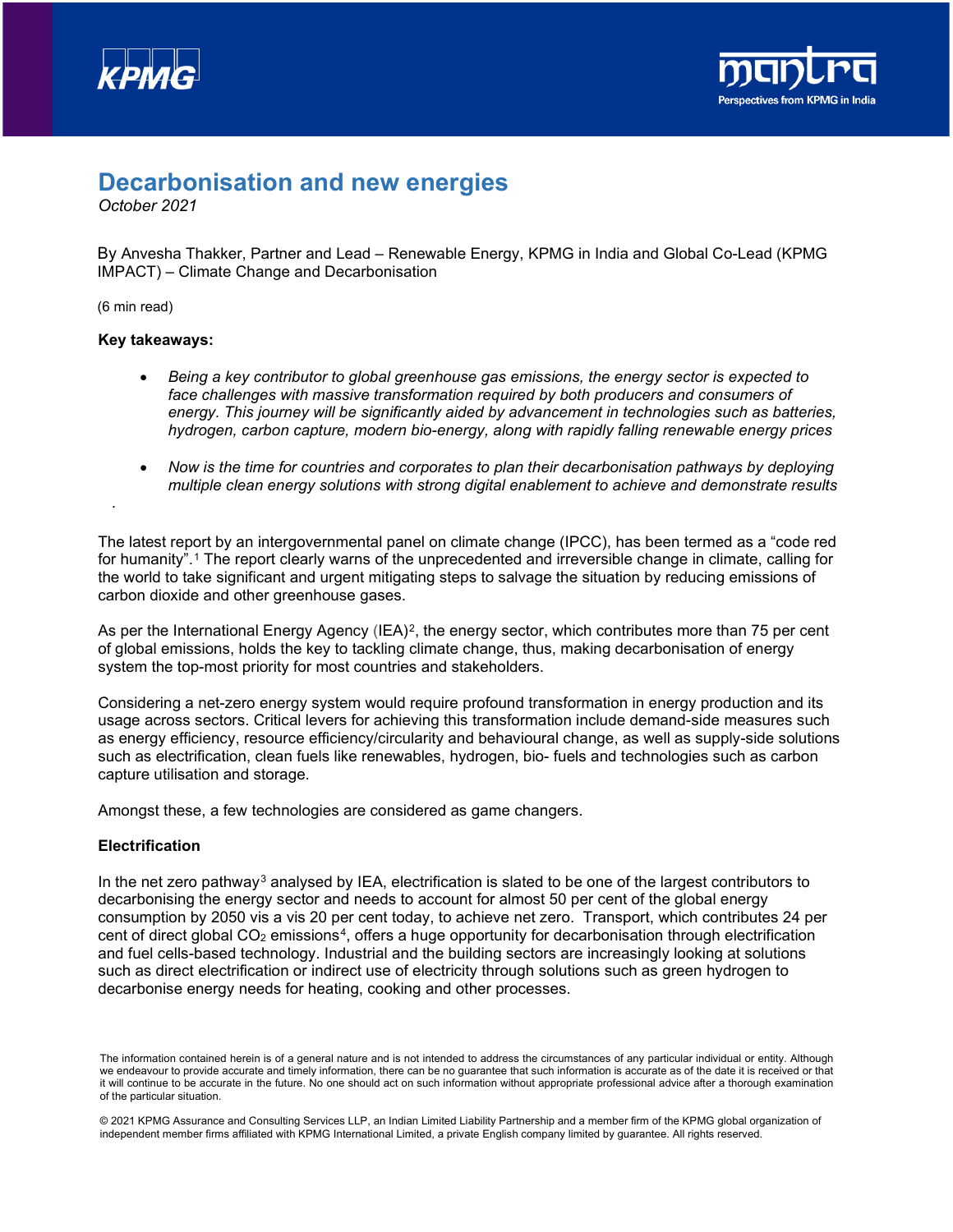



# **Decarbonisation and new energies**

*October 2021*

By Anvesha Thakker, Partner and Lead – Renewable Energy, KPMG in India and Global Co-Lead (KPMG IMPACT) – Climate Change and Decarbonisation

(6 min read)

*.*

#### **Key takeaways:**

- *Being a key contributor to global greenhouse gas emissions, the energy sector is expected to*  face challenges with massive transformation required by both producers and consumers of *energy. This journey will be significantly aided by advancement in technologies such as batteries, hydrogen, carbon capture, modern bio-energy, along with rapidly falling renewable energy prices*
- *Now is the time for countries and corporates to plan their decarbonisation pathways by deploying multiple clean energy solutions with strong digital enablement to achieve and demonstrate results*

The latest report by an intergovernmental panel on climate change (IPCC), has been termed as a "code red for humanity".[1](#page-2-0) The report clearly warns of the unprecedented and irreversible change in climate, calling for the world to take significant and urgent mitigating steps to salvage the situation by reducing emissions of carbon dioxide and other greenhouse gases.

As per the International Energy Agency  $(IEA)^2$ , the energy sector, which contributes more than 75 per cent of global emissions, holds the key to tackling climate change, thus, making decarbonisation of energy system the top-most priority for most countries and stakeholders.

Considering a net-zero energy system would require profound transformation in energy production and its usage across sectors. Critical levers for achieving this transformation include demand-side measures such as energy efficiency, resource efficiency/circularity and behavioural change, as well as supply-side solutions such as electrification, clean fuels like renewables, hydrogen, bio- fuels and technologies such as carbon capture utilisation and storage.

Amongst these, a few technologies are considered as game changers.

#### **Electrification**

In the net zero pathway<sup>[3](#page-2-2)</sup> analysed by IEA, electrification is slated to be one of the largest contributors to decarbonising the energy sector and needs to account for almost 50 per cent of the global energy consumption by 2050 vis a vis 20 per cent today, to achieve net zero. Transport, which contributes 24 per cent of direct global  $CO<sub>2</sub>$  emissions<sup>[4](#page-2-3)</sup>, offers a huge opportunity for decarbonisation through electrification and fuel cells-based technology. Industrial and the building sectors are increasingly looking at solutions such as direct electrification or indirect use of electricity through solutions such as green hydrogen to decarbonise energy needs for heating, cooking and other processes.

The information contained herein is of a general nature and is not intended to address the circumstances of any particular individual or entity. Although we endeavour to provide accurate and timely information, there can be no guarantee that such information is accurate as of the date it is received or that it will continue to be accurate in the future. No one should act on such information without appropriate professional advice after a thorough examination of the particular situation.

<sup>© 2021</sup> KPMG Assurance and Consulting Services LLP, an Indian Limited Liability Partnership and a member firm of the KPMG global organization of independent member firms affiliated with KPMG International Limited, a private English company limited by guarantee. All rights reserved.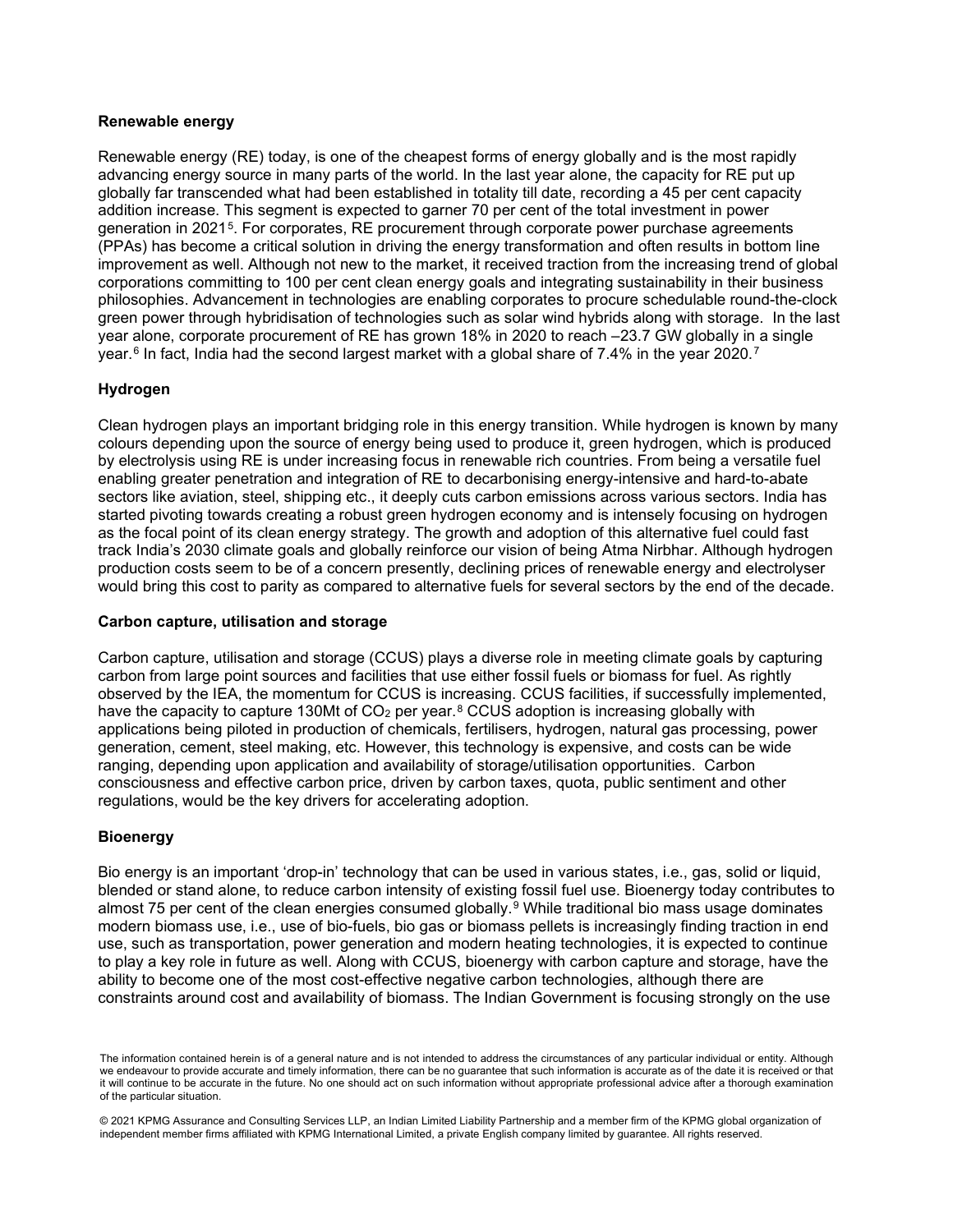## **Renewable energy**

Renewable energy (RE) today, is one of the cheapest forms of energy globally and is the most rapidly advancing energy source in many parts of the world. In the last year alone, the capacity for RE put up globally far transcended what had been established in totality till date, recording a 45 per cent capacity addition increase. This segment is expected to garner 70 per cent of the total investment in power generation in 2021<sup>[5](#page-2-4)</sup>. For corporates, RE procurement through corporate power purchase agreements (PPAs) has become a critical solution in driving the energy transformation and often results in bottom line improvement as well. Although not new to the market, it received traction from the increasing trend of global corporations committing to 100 per cent clean energy goals and integrating sustainability in their business philosophies. Advancement in technologies are enabling corporates to procure schedulable round-the-clock green power through hybridisation of technologies such as solar wind hybrids along with storage. In the last year alone, corporate procurement of RE has grown 18% in 2020 to reach –23.7 GW globally in a single year.<sup>[6](#page-2-5)</sup> In fact, India had the second largest market with a global share of [7](#page-2-6).4% in the year 2020.<sup>7</sup>

## **Hydrogen**

Clean hydrogen plays an important bridging role in this energy transition. While hydrogen is known by many colours depending upon the source of energy being used to produce it, green hydrogen, which is produced by electrolysis using RE is under increasing focus in renewable rich countries. From being a versatile fuel enabling greater penetration and integration of RE to decarbonising energy-intensive and hard-to-abate sectors like aviation, steel, shipping etc., it deeply cuts carbon emissions across various sectors. India has started pivoting towards creating a robust green hydrogen economy and is intensely focusing on hydrogen as the focal point of its clean energy strategy. The growth and adoption of this alternative fuel could fast track India's 2030 climate goals and globally reinforce our vision of being Atma Nirbhar. Although hydrogen production costs seem to be of a concern presently, declining prices of renewable energy and electrolyser would bring this cost to parity as compared to alternative fuels for several sectors by the end of the decade.

## **Carbon capture, utilisation and storage**

Carbon capture, utilisation and storage (CCUS) plays a diverse role in meeting climate goals by capturing carbon from large point sources and facilities that use either fossil fuels or biomass for fuel. As rightly observed by the IEA, the momentum for CCUS is increasing. CCUS facilities, if successfully implemented, have the capacity to capture 130Mt of  $CO<sub>2</sub>$  per year.<sup>[8](#page-2-7)</sup> CCUS adoption is increasing globally with applications being piloted in production of chemicals, fertilisers, hydrogen, natural gas processing, power generation, cement, steel making, etc. However, this technology is expensive, and costs can be wide ranging, depending upon application and availability of storage/utilisation opportunities. Carbon consciousness and effective carbon price, driven by carbon taxes, quota, public sentiment and other regulations, would be the key drivers for accelerating adoption.

## **Bioenergy**

Bio energy is an important 'drop-in' technology that can be used in various states, i.e., gas, solid or liquid, blended or stand alone, to reduce carbon intensity of existing fossil fuel use. Bioenergy today contributes to almost 75 per cent of the clean energies consumed globally.<sup>[9](#page-2-8)</sup> While traditional bio mass usage dominates modern biomass use, i.e., use of bio-fuels, bio gas or biomass pellets is increasingly finding traction in end use, such as transportation, power generation and modern heating technologies, it is expected to continue to play a key role in future as well. Along with CCUS, bioenergy with carbon capture and storage, have the ability to become one of the most cost-effective negative carbon technologies, although there are constraints around cost and availability of biomass. The Indian Government is focusing strongly on the use

The information contained herein is of a general nature and is not intended to address the circumstances of any particular individual or entity. Although we endeavour to provide accurate and timely information, there can be no guarantee that such information is accurate as of the date it is received or that it will continue to be accurate in the future. No one should act on such information without appropriate professional advice after a thorough examination of the particular situation.

<sup>© 2021</sup> KPMG Assurance and Consulting Services LLP, an Indian Limited Liability Partnership and a member firm of the KPMG global organization of independent member firms affiliated with KPMG International Limited, a private English company limited by guarantee. All rights reserved.